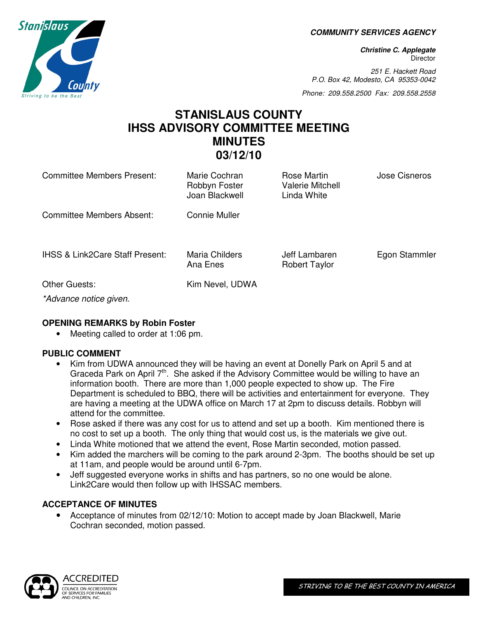**COMMUNITY SERVICES AGENCY** 

**Christine C. Applegate Director** 

251 E. Hackett Road P.O. Box 42, Modesto, CA 95353-0042

Phone: 209.558.2500 Fax: 209.558.2558

# **STANISLAUS COUNTY IHSS ADVISORY COMMITTEE MEETING MINUTES 03/12/10**

| Committee Members Present:                 | Marie Cochran<br>Robbyn Foster<br>Joan Blackwell | Rose Martin<br><b>Valerie Mitchell</b><br>Linda White | Jose Cisneros |
|--------------------------------------------|--------------------------------------------------|-------------------------------------------------------|---------------|
| <b>Committee Members Absent:</b>           | <b>Connie Muller</b>                             |                                                       |               |
| <b>IHSS &amp; Link2Care Staff Present:</b> | Maria Childers<br>Ana Enes                       | Jeff Lambaren<br><b>Robert Taylor</b>                 | Egon Stammler |
| <b>Other Guests:</b>                       | Kim Nevel, UDWA                                  |                                                       |               |
| *Advance notice given.                     |                                                  |                                                       |               |

#### **OPENING REMARKS by Robin Foster**

• Meeting called to order at 1:06 pm.

# **PUBLIC COMMENT**

- Kim from UDWA announced they will be having an event at Donelly Park on April 5 and at Graceda Park on April  $7<sup>th</sup>$ . She asked if the Advisory Committee would be willing to have an information booth. There are more than 1,000 people expected to show up. The Fire Department is scheduled to BBQ, there will be activities and entertainment for everyone. They are having a meeting at the UDWA office on March 17 at 2pm to discuss details. Robbyn will attend for the committee.
- Rose asked if there was any cost for us to attend and set up a booth. Kim mentioned there is no cost to set up a booth. The only thing that would cost us, is the materials we give out.
- Linda White motioned that we attend the event, Rose Martin seconded, motion passed.
- Kim added the marchers will be coming to the park around 2-3pm. The booths should be set up at 11am, and people would be around until 6-7pm.
- Jeff suggested everyone works in shifts and has partners, so no one would be alone. Link2Care would then follow up with IHSSAC members.

# **ACCEPTANCE OF MINUTES**

• Acceptance of minutes from 02/12/10: Motion to accept made by Joan Blackwell, Marie Cochran seconded, motion passed.



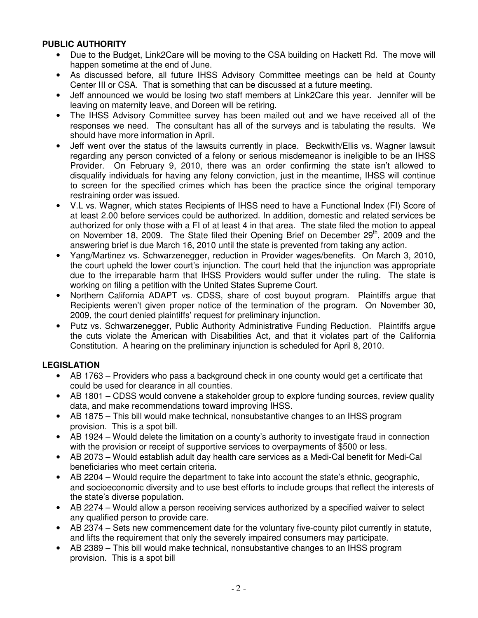# **PUBLIC AUTHORITY**

- Due to the Budget, Link2Care will be moving to the CSA building on Hackett Rd. The move will happen sometime at the end of June.
- As discussed before, all future IHSS Advisory Committee meetings can be held at County Center III or CSA. That is something that can be discussed at a future meeting.
- Jeff announced we would be losing two staff members at Link2Care this year. Jennifer will be leaving on maternity leave, and Doreen will be retiring.
- The IHSS Advisory Committee survey has been mailed out and we have received all of the responses we need. The consultant has all of the surveys and is tabulating the results. We should have more information in April.
- Jeff went over the status of the lawsuits currently in place. Beckwith/Ellis vs. Wagner lawsuit regarding any person convicted of a felony or serious misdemeanor is ineligible to be an IHSS Provider. On February 9, 2010, there was an order confirming the state isn't allowed to disqualify individuals for having any felony conviction, just in the meantime, IHSS will continue to screen for the specified crimes which has been the practice since the original temporary restraining order was issued.
- V.L vs. Wagner, which states Recipients of IHSS need to have a Functional Index (FI) Score of at least 2.00 before services could be authorized. In addition, domestic and related services be authorized for only those with a FI of at least 4 in that area. The state filed the motion to appeal on November 18, 2009. The State filed their Opening Brief on December 29<sup>th</sup>, 2009 and the answering brief is due March 16, 2010 until the state is prevented from taking any action.
- Yang/Martinez vs. Schwarzenegger, reduction in Provider wages/benefits. On March 3, 2010, the court upheld the lower court's injunction. The court held that the injunction was appropriate due to the irreparable harm that IHSS Providers would suffer under the ruling. The state is working on filing a petition with the United States Supreme Court.
- Northern California ADAPT vs. CDSS, share of cost buyout program. Plaintiffs argue that Recipients weren't given proper notice of the termination of the program. On November 30, 2009, the court denied plaintiffs' request for preliminary injunction.
- Putz vs. Schwarzenegger, Public Authority Administrative Funding Reduction. Plaintiffs argue the cuts violate the American with Disabilities Act, and that it violates part of the California Constitution. A hearing on the preliminary injunction is scheduled for April 8, 2010.

# **LEGISLATION**

- AB 1763 Providers who pass a background check in one county would get a certificate that could be used for clearance in all counties.
- AB 1801 CDSS would convene a stakeholder group to explore funding sources, review quality data, and make recommendations toward improving IHSS.
- AB 1875 This bill would make technical, nonsubstantive changes to an IHSS program provision. This is a spot bill.
- AB 1924 Would delete the limitation on a county's authority to investigate fraud in connection with the provision or receipt of supportive services to overpayments of \$500 or less.
- AB 2073 Would establish adult day health care services as a Medi-Cal benefit for Medi-Cal beneficiaries who meet certain criteria.
- AB 2204 Would require the department to take into account the state's ethnic, geographic, and socioeconomic diversity and to use best efforts to include groups that reflect the interests of the state's diverse population.
- AB 2274 Would allow a person receiving services authorized by a specified waiver to select any qualified person to provide care.
- AB 2374 Sets new commencement date for the voluntary five-county pilot currently in statute, and lifts the requirement that only the severely impaired consumers may participate.
- AB 2389 This bill would make technical, nonsubstantive changes to an IHSS program provision. This is a spot bill